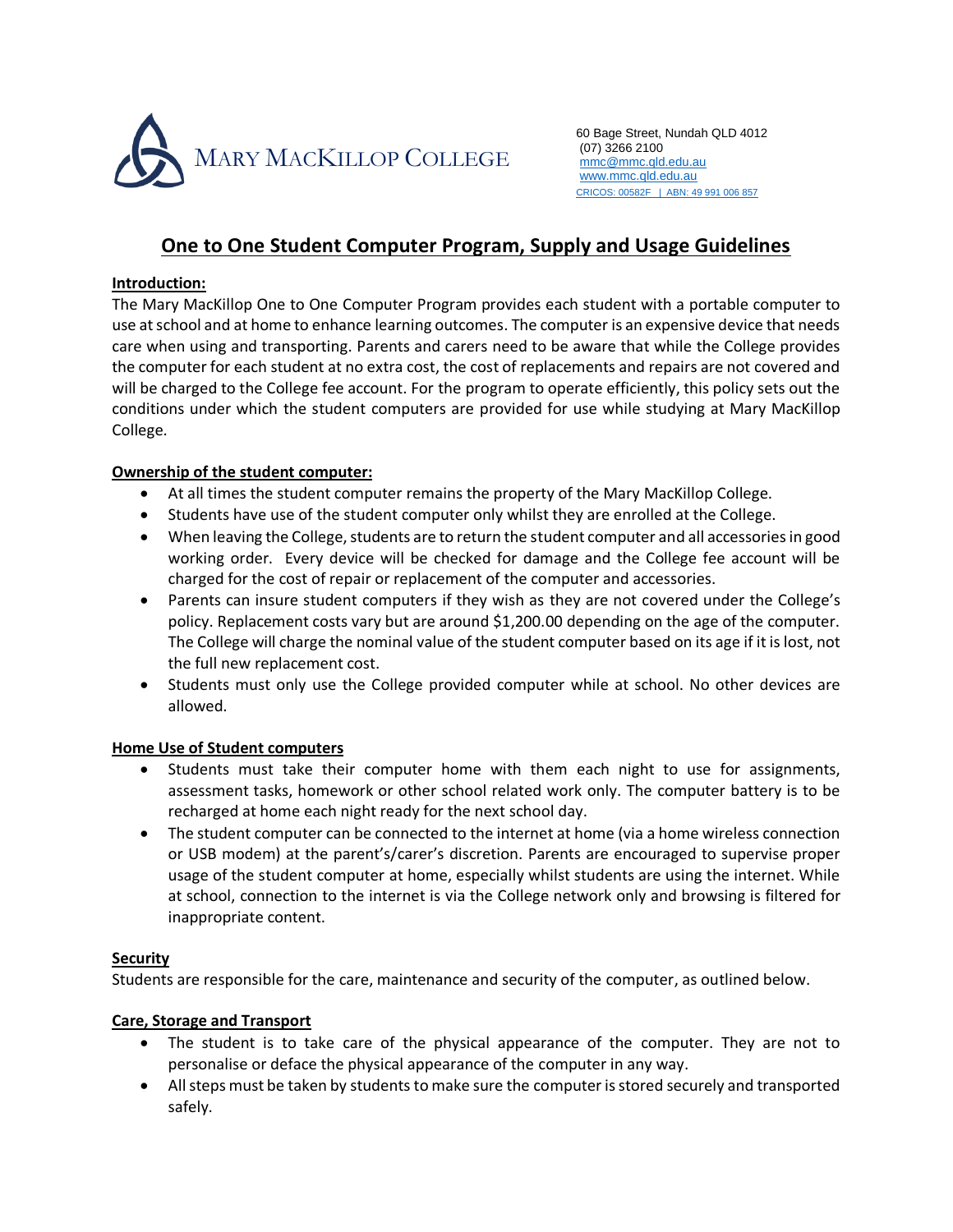

60 Bage Street, Nundah QLD 4012 (07) 3266 2100 mmc@mmc.qld.edu.au www.mmc.qld.edu.au CRICOS: 00582F | ABN: 49 991 006 857

# **One to One Student Computer Program, Supply and Usage Guidelines**

### **Introduction:**

The Mary MacKillop One to One Computer Program provides each student with a portable computer to use at school and at home to enhance learning outcomes. The computer is an expensive device that needs care when using and transporting. Parents and carers need to be aware that while the College provides the computer for each student at no extra cost, the cost of replacements and repairs are not covered and will be charged to the College fee account. For the program to operate efficiently, this policy sets out the conditions under which the student computers are provided for use while studying at Mary MacKillop College.

# **Ownership of the student computer:**

- At all times the student computer remains the property of the Mary MacKillop College.
- Students have use of the student computer only whilst they are enrolled at the College.
- When leaving the College, students are to return the student computer and all accessories in good working order. Every device will be checked for damage and the College fee account will be charged for the cost of repair or replacement of the computer and accessories.
- Parents can insure student computers if they wish as they are not covered under the College's policy. Replacement costs vary but are around \$1,200.00 depending on the age of the computer. The College will charge the nominal value of the student computer based on its age if it is lost, not the full new replacement cost.
- Students must only use the College provided computer while at school. No other devices are allowed.

# **Home Use of Student computers**

- Students must take their computer home with them each night to use for assignments, assessment tasks, homework or other school related work only. The computer battery is to be recharged at home each night ready for the next school day.
- The student computer can be connected to the internet at home (via a home wireless connection or USB modem) at the parent's/carer's discretion. Parents are encouraged to supervise proper usage of the student computer at home, especially whilst students are using the internet. While at school, connection to the internet is via the College network only and browsing is filtered for inappropriate content.

# **Security**

Students are responsible for the care, maintenance and security of the computer, as outlined below.

# **Care, Storage and Transport**

- The student is to take care of the physical appearance of the computer. They are not to personalise or deface the physical appearance of the computer in any way.
- All steps must be taken by students to make sure the computer is stored securely and transported safely.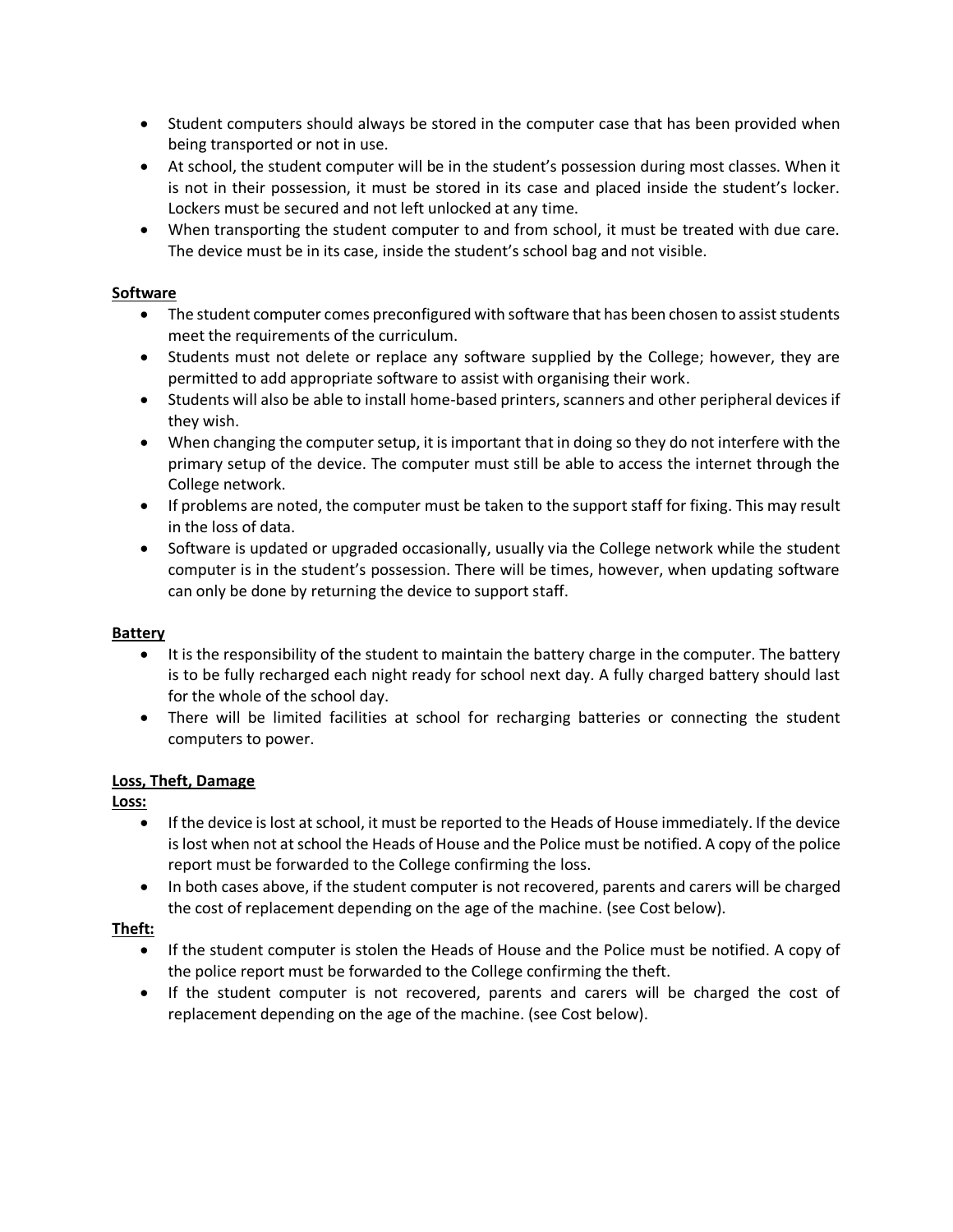- Student computers should always be stored in the computer case that has been provided when being transported or not in use.
- At school, the student computer will be in the student's possession during most classes. When it is not in their possession, it must be stored in its case and placed inside the student's locker. Lockers must be secured and not left unlocked at any time.
- When transporting the student computer to and from school, it must be treated with due care. The device must be in its case, inside the student's school bag and not visible.

# **Software**

- The student computer comes preconfigured with software that has been chosen to assist students meet the requirements of the curriculum.
- Students must not delete or replace any software supplied by the College; however, they are permitted to add appropriate software to assist with organising their work.
- Students will also be able to install home-based printers, scanners and other peripheral devices if they wish.
- When changing the computer setup, it is important that in doing so they do not interfere with the primary setup of the device. The computer must still be able to access the internet through the College network.
- If problems are noted, the computer must be taken to the support staff for fixing. This may result in the loss of data.
- Software is updated or upgraded occasionally, usually via the College network while the student computer is in the student's possession. There will be times, however, when updating software can only be done by returning the device to support staff.

# **Battery**

- It is the responsibility of the student to maintain the battery charge in the computer. The battery is to be fully recharged each night ready for school next day. A fully charged battery should last for the whole of the school day.
- There will be limited facilities at school for recharging batteries or connecting the student computers to power.

# **Loss, Theft, Damage**

**Loss:** 

- If the device is lost at school, it must be reported to the Heads of House immediately. If the device is lost when not at school the Heads of House and the Police must be notified. A copy of the police report must be forwarded to the College confirming the loss.
- In both cases above, if the student computer is not recovered, parents and carers will be charged the cost of replacement depending on the age of the machine. (see Cost below).

# **Theft:**

- If the student computer is stolen the Heads of House and the Police must be notified. A copy of the police report must be forwarded to the College confirming the theft.
- If the student computer is not recovered, parents and carers will be charged the cost of replacement depending on the age of the machine. (see Cost below).